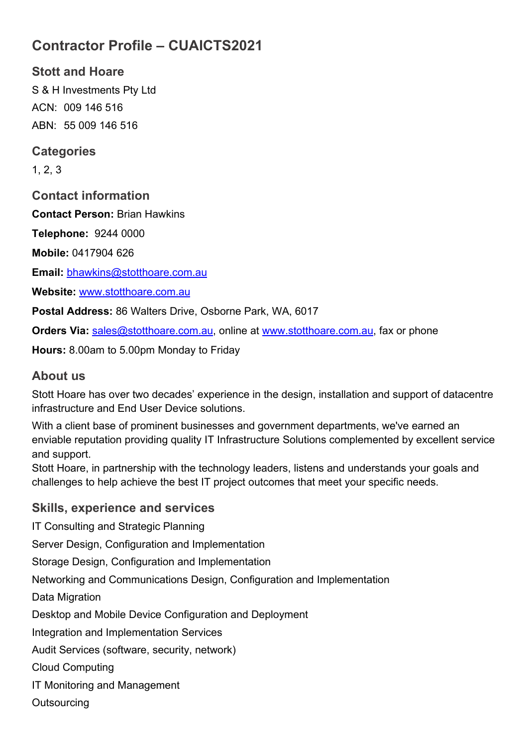# **Contractor Profile – CUAICTS2021**

**Stott and Hoare** S & H Investments Pty Ltd ACN: 009 146 516 ABN: 55 009 146 516

#### **Categories**

1, 2, 3

**Contact information**

**Contact Person:** Brian Hawkins

**Telephone:** 9244 0000

**Mobile:** 0417904 626

**Email:** [bhawkins@stotthoare.com.au](mailto:bhawkins@stotthoare.com.au)

**Website:** [www.stotthoare.com.au](http://www.stotthoare.com.au/)

**Postal Address:** 86 Walters Drive, Osborne Park, WA, 6017

**Orders Via: sales@stotthoare.com.au, online at [www.stotthoare.com.au,](http://www.stotthoare.com.au/) fax or phone** 

**Hours:** 8.00am to 5.00pm Monday to Friday

#### **About us**

Stott Hoare has over two decades' experience in the design, installation and support of datacentre infrastructure and End User Device solutions.

With a client base of prominent businesses and government departments, we've earned an enviable reputation providing quality IT Infrastructure Solutions complemented by excellent service and support.

Stott Hoare, in partnership with the technology leaders, listens and understands your goals and challenges to help achieve the best IT project outcomes that meet your specific needs.

#### **Skills, experience and services**

IT Consulting and Strategic Planning Server Design, Configuration and Implementation Storage Design, Configuration and Implementation Networking and Communications Design, Configuration and Implementation Data Migration Desktop and Mobile Device Configuration and Deployment Integration and Implementation Services Audit Services (software, security, network) Cloud Computing

IT Monitoring and Management

**Outsourcing**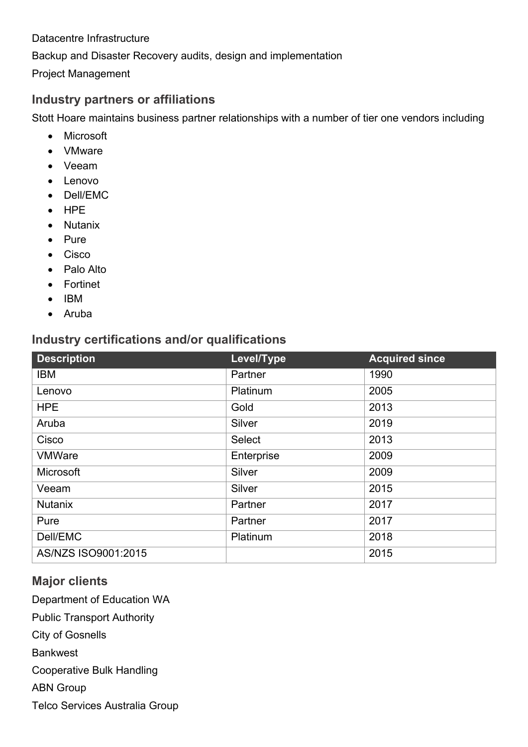Datacentre Infrastructure Backup and Disaster Recovery audits, design and implementation

Project Management

### **Industry partners or affiliations**

Stott Hoare maintains business partner relationships with a number of tier one vendors including

- Microsoft
- VMware
- Veeam
- Lenovo
- Dell/EMC
- HPE
- Nutanix
- Pure
- Cisco
- Palo Alto
- Fortinet
- IBM
- Aruba

## **Industry certifications and/or qualifications**

| <b>Description</b>  | Level/Type    | <b>Acquired since</b> |
|---------------------|---------------|-----------------------|
| <b>IBM</b>          | Partner       | 1990                  |
| Lenovo              | Platinum      | 2005                  |
| <b>HPE</b>          | Gold          | 2013                  |
| Aruba               | Silver        | 2019                  |
| Cisco               | <b>Select</b> | 2013                  |
| <b>VMWare</b>       | Enterprise    | 2009                  |
| <b>Microsoft</b>    | Silver        | 2009                  |
| Veeam               | Silver        | 2015                  |
| <b>Nutanix</b>      | Partner       | 2017                  |
| Pure                | Partner       | 2017                  |
| Dell/EMC            | Platinum      | 2018                  |
| AS/NZS ISO9001:2015 |               | 2015                  |

## **Major clients**

Department of Education WA

Public Transport Authority

City of Gosnells

**Bankwest** 

Cooperative Bulk Handling

ABN Group

Telco Services Australia Group